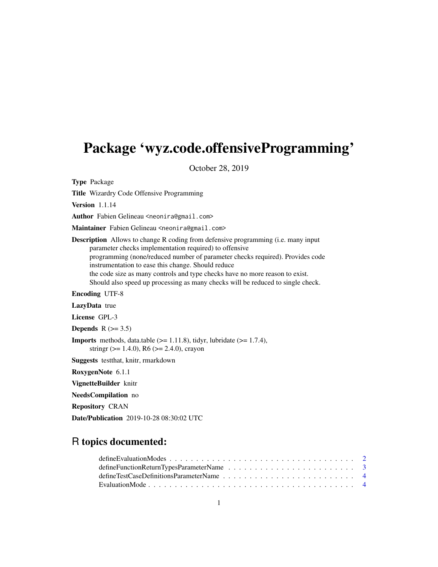# <span id="page-0-0"></span>Package 'wyz.code.offensiveProgramming'

October 28, 2019

Type Package

Title Wizardry Code Offensive Programming

Version 1.1.14

Author Fabien Gelineau <neonira@gmail.com>

Maintainer Fabien Gelineau <neonira@gmail.com>

Description Allows to change R coding from defensive programming (i.e. many input parameter checks implementation required) to offensive programming (none/reduced number of parameter checks required). Provides code instrumentation to ease this change. Should reduce the code size as many controls and type checks have no more reason to exist. Should also speed up processing as many checks will be reduced to single check.

Encoding UTF-8

LazyData true

License GPL-3

Depends  $R$  ( $> = 3.5$ )

**Imports** methods, data.table  $(>= 1.11.8)$ , tidyr, lubridate  $(>= 1.7.4)$ , stringr ( $> = 1.4.0$ ), R6 ( $> = 2.4.0$ ), crayon

Suggests testthat, knitr, rmarkdown

RoxygenNote 6.1.1

VignetteBuilder knitr

NeedsCompilation no

Repository CRAN

Date/Publication 2019-10-28 08:30:02 UTC

# R topics documented:

| define TestCase Definitions Parameter Name $\ldots$ , $\ldots$ , $\ldots$ , $\ldots$ , $\ldots$ , $\ldots$ , $\ldots$ , $\ldots$ |  |
|----------------------------------------------------------------------------------------------------------------------------------|--|
|                                                                                                                                  |  |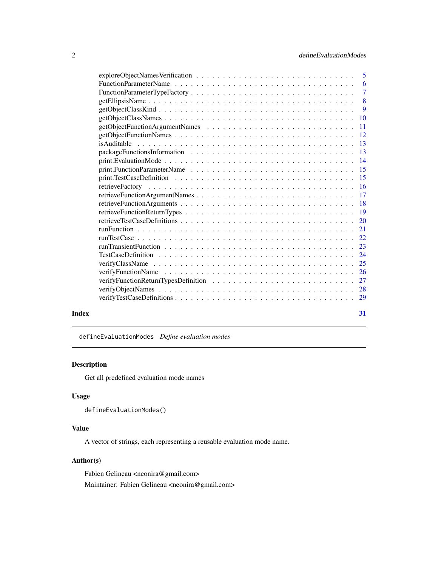<span id="page-1-0"></span>

|       | -6                        |
|-------|---------------------------|
|       | $\overline{7}$            |
|       | $\overline{\phantom{0}}8$ |
|       | 9                         |
|       |                           |
|       | $\overline{11}$           |
|       |                           |
|       |                           |
|       |                           |
|       |                           |
|       |                           |
|       |                           |
|       |                           |
|       |                           |
|       |                           |
|       |                           |
|       |                           |
|       |                           |
|       |                           |
|       |                           |
|       |                           |
|       |                           |
|       |                           |
|       |                           |
|       |                           |
|       |                           |
|       |                           |
| Index | 31                        |

<span id="page-1-1"></span>defineEvaluationModes *Define evaluation modes*

# Description

Get all predefined evaluation mode names

# Usage

```
defineEvaluationModes()
```
# Value

A vector of strings, each representing a reusable evaluation mode name.

# Author(s)

Fabien Gelineau <neonira@gmail.com> Maintainer: Fabien Gelineau <neonira@gmail.com>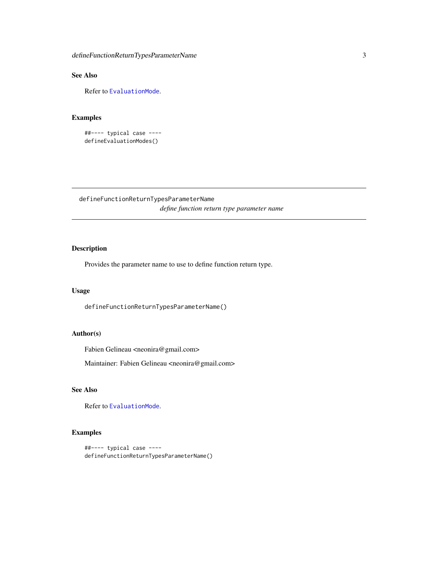<span id="page-2-0"></span>defineFunctionReturnTypesParameterName 3

# See Also

Refer to [EvaluationMode](#page-3-1).

# Examples

```
##---- typical case ----
defineEvaluationModes()
```
defineFunctionReturnTypesParameterName *define function return type parameter name*

# Description

Provides the parameter name to use to define function return type.

# Usage

defineFunctionReturnTypesParameterName()

# Author(s)

Fabien Gelineau <neonira@gmail.com>

Maintainer: Fabien Gelineau <neonira@gmail.com>

# See Also

Refer to [EvaluationMode](#page-3-1).

```
##---- typical case ----
defineFunctionReturnTypesParameterName()
```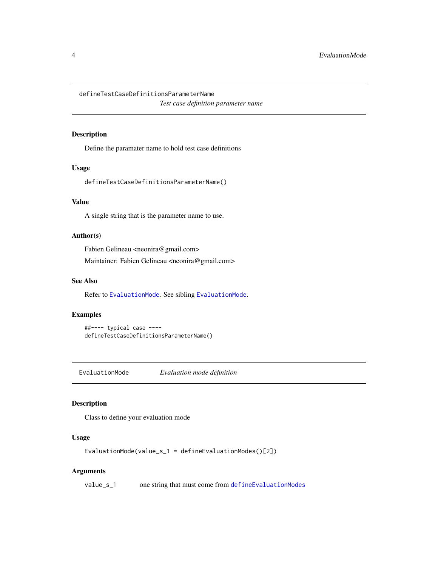<span id="page-3-2"></span><span id="page-3-0"></span>defineTestCaseDefinitionsParameterName

*Test case definition parameter name*

# Description

Define the paramater name to hold test case definitions

# Usage

defineTestCaseDefinitionsParameterName()

# Value

A single string that is the parameter name to use.

# Author(s)

Fabien Gelineau <neonira@gmail.com> Maintainer: Fabien Gelineau <neonira@gmail.com>

#### See Also

Refer to [EvaluationMode](#page-3-1). See sibling [EvaluationMode](#page-3-1).

# Examples

##---- typical case --- defineTestCaseDefinitionsParameterName()

<span id="page-3-1"></span>EvaluationMode *Evaluation mode definition*

# Description

Class to define your evaluation mode

# Usage

EvaluationMode(value\_s\_1 = defineEvaluationModes()[2])

# Arguments

value\_s\_1 one string that must come from [defineEvaluationModes](#page-1-1)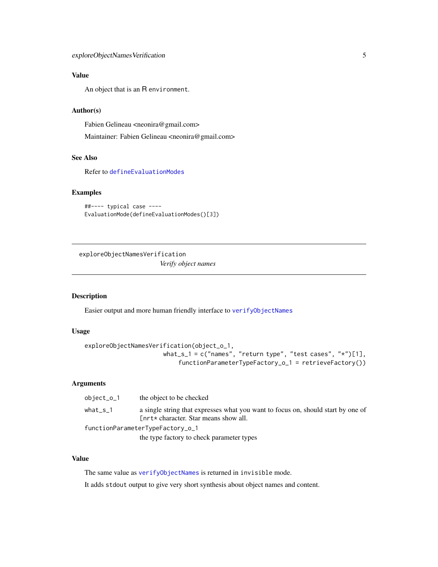# <span id="page-4-0"></span>Value

An object that is an R environment.

# Author(s)

Fabien Gelineau <neonira@gmail.com>

Maintainer: Fabien Gelineau <neonira@gmail.com>

# See Also

Refer to [defineEvaluationModes](#page-1-1)

# Examples

```
##---- typical case ----
EvaluationMode(defineEvaluationModes()[3])
```
exploreObjectNamesVerification *Verify object names*

### Description

Easier output and more human friendly interface to [verifyObjectNames](#page-27-1)

# Usage

```
exploreObjectNamesVerification(object_o_1,
                      what_s_1 = c("names", "return type", "test cases", "*")[1],
                           functionParameterTypeFactory_o_1 = retrieveFactory())
```
#### Arguments

| $object\_o\_1$ | the object to be checked                                                                                                  |
|----------------|---------------------------------------------------------------------------------------------------------------------------|
| what s 1       | a single string that expresses what you want to focus on, should start by one of<br>[nrt* character. Star means show all. |
|                | functionParameterTypeFactory_o_1                                                                                          |
|                | the type factory to check parameter types                                                                                 |

# Value

The same value as [verifyObjectNames](#page-27-1) is returned in invisible mode.

It adds stdout output to give very short synthesis about object names and content.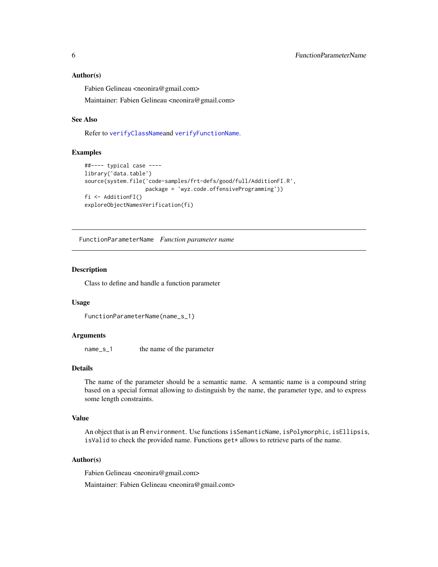#### <span id="page-5-0"></span>Author(s)

Fabien Gelineau <neonira@gmail.com>

Maintainer: Fabien Gelineau <neonira@gmail.com>

#### See Also

Refer to [verifyClassName](#page-24-1)and [verifyFunctionName](#page-25-1).

#### Examples

```
##---- typical case ----
library('data.table')
source(system.file('code-samples/frt-defs/good/full/AdditionFI.R',
                   package = 'wyz.code.offensiveProgramming'))
fi <- AdditionFI()
exploreObjectNamesVerification(fi)
```
FunctionParameterName *Function parameter name*

#### Description

Class to define and handle a function parameter

#### Usage

```
FunctionParameterName(name_s_1)
```
#### Arguments

name\_s\_1 the name of the parameter

# Details

The name of the parameter should be a semantic name. A semantic name is a compound string based on a special format allowing to distinguish by the name, the parameter type, and to express some length constraints.

#### Value

An object that is an R environment. Use functions isSemanticName, isPolymorphic, isEllipsis, is Valid to check the provided name. Functions  $get*$  allows to retrieve parts of the name.

#### Author(s)

Fabien Gelineau <neonira@gmail.com> Maintainer: Fabien Gelineau <neonira@gmail.com>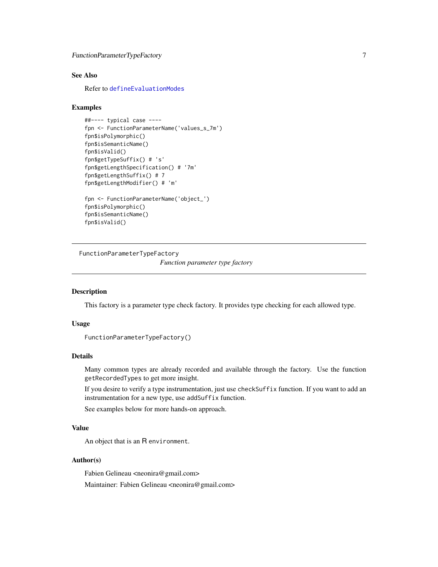```
FunctionParameterTypeFactory 7
```
#### See Also

Refer to [defineEvaluationModes](#page-1-1)

#### Examples

```
##---- typical case ----
fpn <- FunctionParameterName('values_s_7m')
fpn$isPolymorphic()
fpn$isSemanticName()
fpn$isValid()
fpn$getTypeSuffix() # 's'
fpn$getLengthSpecification() # '7m'
fpn$getLengthSuffix() # 7
fpn$getLengthModifier() # 'm'
fpn <- FunctionParameterName('object_')
fpn$isPolymorphic()
fpn$isSemanticName()
fpn$isValid()
```
<span id="page-6-1"></span>FunctionParameterTypeFactory

*Function parameter type factory*

# Description

This factory is a parameter type check factory. It provides type checking for each allowed type.

# Usage

```
FunctionParameterTypeFactory()
```
# Details

Many common types are already recorded and available through the factory. Use the function getRecordedTypes to get more insight.

If you desire to verify a type instrumentation, just use checkSuffix function. If you want to add an instrumentation for a new type, use addSuffix function.

See examples below for more hands-on approach.

# Value

An object that is an R environment.

# Author(s)

Fabien Gelineau <neonira@gmail.com> Maintainer: Fabien Gelineau <neonira@gmail.com>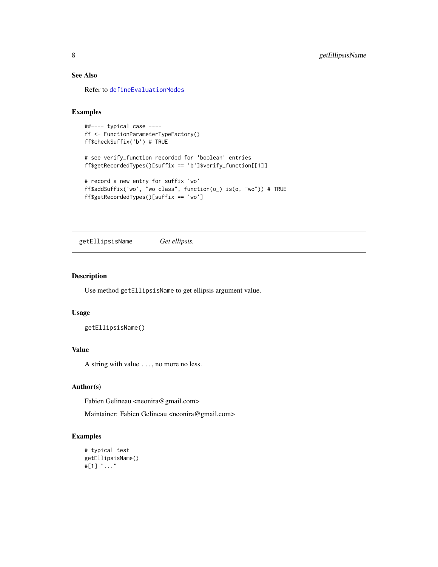# See Also

Refer to [defineEvaluationModes](#page-1-1)

### Examples

```
##---- typical case ----
ff <- FunctionParameterTypeFactory()
ff$checkSuffix('b') # TRUE
# see verify_function recorded for 'boolean' entries
ff$getRecordedTypes()[suffix == 'b']$verify_function[[1]]
# record a new entry for suffix 'wo'
ff$addSuffix('wo', "wo class", function(o_) is(o, "wo")) # TRUE
ff$getRecordedTypes()[suffix == 'wo']
```
getEllipsisName *Get ellipsis.*

# Description

Use method getEllipsisName to get ellipsis argument value.

#### Usage

getEllipsisName()

# Value

A string with value ..., no more no less.

#### Author(s)

Fabien Gelineau <neonira@gmail.com>

Maintainer: Fabien Gelineau <neonira@gmail.com>

```
# typical test
getEllipsisName()
#[1] "..."
```
<span id="page-7-0"></span>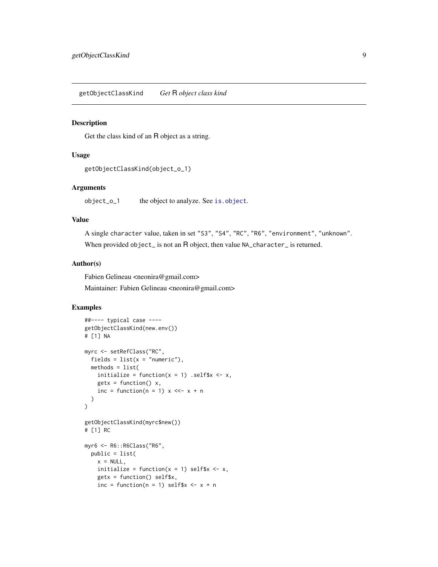#### <span id="page-8-0"></span>Description

Get the class kind of an R object as a string.

#### Usage

```
getObjectClassKind(object_o_1)
```
# Arguments

object\_o\_1 the object to analyze. See [is.object](#page-0-0).

# Value

A single character value, taken in set "S3", "S4", "RC", "R6", "environment", "unknown". When provided object\_ is not an R object, then value NA\_character\_ is returned.

# Author(s)

Fabien Gelineau <neonira@gmail.com> Maintainer: Fabien Gelineau <neonira@gmail.com>

```
##---- typical case ----
getObjectClassKind(new.env())
# [1] NA
myrc <- setRefClass("RC",
  fields = list(x = "numeric"),
 methods = list(
   initialize = function(x = 1) .self$x <- x,
   getx = function() x,inc = function(n = 1) x <<- x + n
  )
\mathcal{L}getObjectClassKind(myrc$new())
# [1] RC
myr6 <- R6::R6Class("R6",
  public = list(
   x = NULL,initialize = function(x = 1) self$x <- x,
   getx = function() self$x,
   inc = function(n = 1) self$x <- x + n
```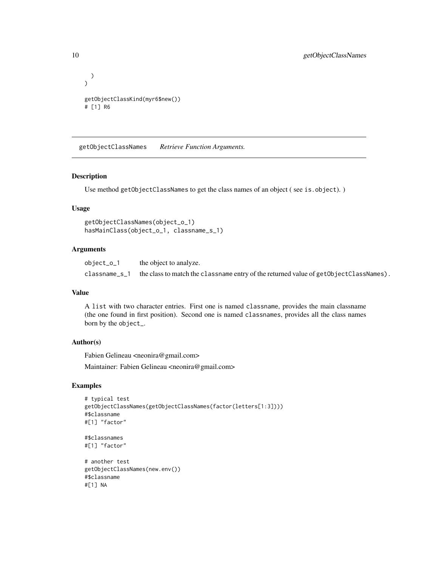```
)
\mathcal{L}getObjectClassKind(myr6$new())
# [1] R6
```
getObjectClassNames *Retrieve Function Arguments.*

#### Description

Use method getObjectClassNames to get the class names of an object ( see is.object). )

#### Usage

```
getObjectClassNames(object_o_1)
hasMainClass(object_o_1, classname_s_1)
```
#### Arguments

object\_o\_1 the object to analyze. classname\_s\_1 the class to match the classname entry of the returned value of getObjectClassNames).

#### Value

A list with two character entries. First one is named classname, provides the main classname (the one found in first position). Second one is named classnames, provides all the class names born by the object\_.

# Author(s)

Fabien Gelineau <neonira@gmail.com>

Maintainer: Fabien Gelineau <neonira@gmail.com>

```
# typical test
getObjectClassNames(getObjectClassNames(factor(letters[1:3])))
#$classname
#[1] "factor"
#$classnames
#[1] "factor"
# another test
getObjectClassNames(new.env())
#$classname
#[1] NA
```
<span id="page-9-0"></span>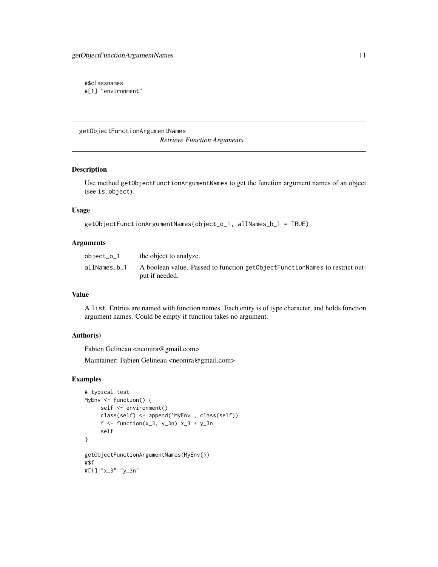<span id="page-10-0"></span>#\$classnames #[1] "environment"

getObjectFunctionArgumentNames *Retrieve Function Arguments.*

# Description

Use method getObjectFunctionArgumentNames to get the function argument names of an object (see is.object).

#### Usage

```
getObjectFunctionArgumentNames(object_o_1, allNames_b_1 = TRUE)
```
#### Arguments

| object_o_1   | the object to analyze.                                                                        |
|--------------|-----------------------------------------------------------------------------------------------|
| allNames b 1 | A boolean value. Passed to function getObjectFunctionNames to restrict out-<br>put if needed. |

#### Value

A list. Entries are named with function names. Each entry is of type character, and holds function argument names. Could be empty if function takes no argument.

# Author(s)

Fabien Gelineau <neonira@gmail.com>

Maintainer: Fabien Gelineau <neonira@gmail.com>

```
# typical test
MyEnv <- function() {
    self <- environment()
     class(self) <- append('MyEnv', class(self))
     f <- function(x_3, y_3n) x_3 + y_3n
     self
}
getObjectFunctionArgumentNames(MyEnv())
#$f
#[1] "x_3" "y_3n"
```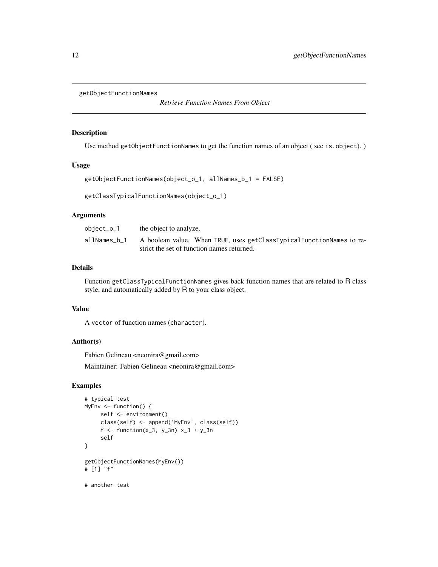```
getObjectFunctionNames
```
*Retrieve Function Names From Object*

#### Description

Use method getObjectFunctionNames to get the function names of an object (see is.object).)

# Usage

```
getObjectFunctionNames(object_o_1, allNames_b_1 = FALSE)
```

```
getClassTypicalFunctionNames(object_o_1)
```
#### Arguments

| object_o_1   | the object to analyze.                                               |
|--------------|----------------------------------------------------------------------|
| allNames b 1 | A boolean value. When TRUE, uses getClassTypicalFunctionNames to re- |
|              | strict the set of function names returned.                           |

#### Details

Function getClassTypicalFunctionNames gives back function names that are related to R class style, and automatically added by R to your class object.

#### Value

A vector of function names (character).

# Author(s)

Fabien Gelineau <neonira@gmail.com>

Maintainer: Fabien Gelineau <neonira@gmail.com>

```
# typical test
MyEnv <- function() {
    self <- environment()
    class(self) <- append('MyEnv', class(self))
     f <- function(x_3, y_3n) x_3 + y_3n
     self
}
getObjectFunctionNames(MyEnv())
# [1] "f"
# another test
```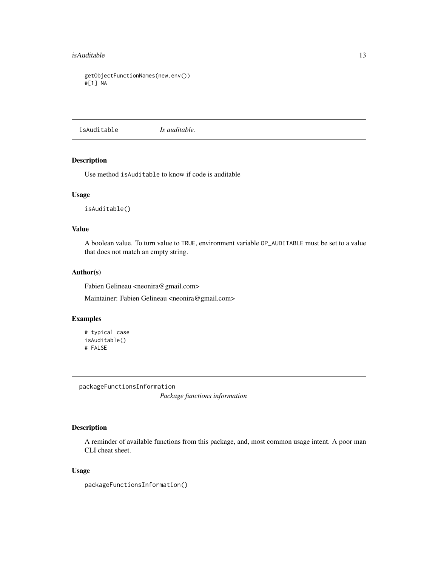#### <span id="page-12-0"></span>isAuditable 13

```
getObjectFunctionNames(new.env())
#[1] NA
```
isAuditable *Is auditable.*

#### Description

Use method isAuditable to know if code is auditable

#### Usage

isAuditable()

#### Value

A boolean value. To turn value to TRUE, environment variable OP\_AUDITABLE must be set to a value that does not match an empty string.

# Author(s)

Fabien Gelineau <neonira@gmail.com>

Maintainer: Fabien Gelineau <neonira@gmail.com>

# Examples

```
# typical case
isAuditable()
# FALSE
```
packageFunctionsInformation

*Package functions information*

# Description

A reminder of available functions from this package, and, most common usage intent. A poor man CLI cheat sheet.

#### Usage

packageFunctionsInformation()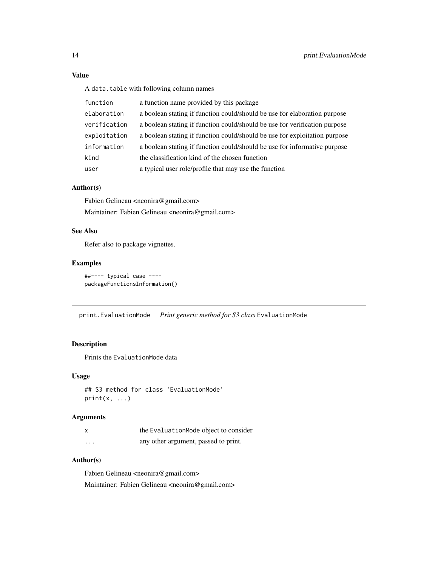# Value

A data.table with following column names

| function     | a function name provided by this package                                   |
|--------------|----------------------------------------------------------------------------|
| elaboration  | a boolean stating if function could/should be use for elaboration purpose  |
| verification | a boolean stating if function could/should be use for verification purpose |
| exploitation | a boolean stating if function could/should be use for exploitation purpose |
| information  | a boolean stating if function could/should be use for informative purpose  |
| kind         | the classification kind of the chosen function                             |
| user         | a typical user role/profile that may use the function                      |

# Author(s)

Fabien Gelineau <neonira@gmail.com> Maintainer: Fabien Gelineau <neonira@gmail.com>

# See Also

Refer also to package vignettes.

# Examples

```
##---- typical case ----
packageFunctionsInformation()
```
print.EvaluationMode *Print generic method for S3 class* EvaluationMode

#### Description

Prints the EvaluationMode data

#### Usage

```
## S3 method for class 'EvaluationMode'
print(x, \ldots)
```
# Arguments

|          | the EvaluationMode object to consider |
|----------|---------------------------------------|
| $\cdots$ | any other argument, passed to print.  |

# Author(s)

Fabien Gelineau <neonira@gmail.com> Maintainer: Fabien Gelineau <neonira@gmail.com>

<span id="page-13-0"></span>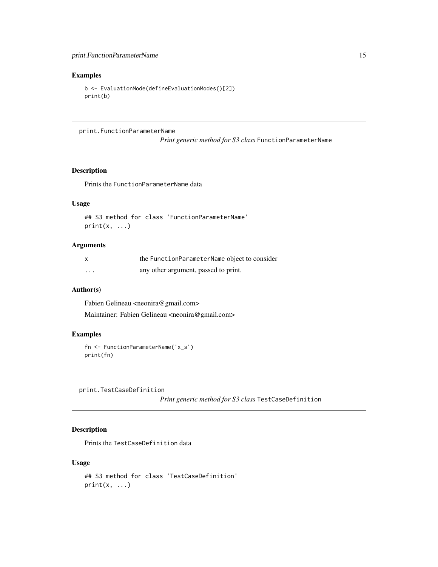# <span id="page-14-0"></span>Examples

```
b <- EvaluationMode(defineEvaluationModes()[2])
print(b)
```
print.FunctionParameterName

*Print generic method for S3 class* FunctionParameterName

# Description

Prints the FunctionParameterName data

# Usage

```
## S3 method for class 'FunctionParameterName'
print(x, \ldots)
```
#### Arguments

| X        | the FunctionParameterName object to consider |
|----------|----------------------------------------------|
| $\cdots$ | any other argument, passed to print.         |

# Author(s)

Fabien Gelineau <neonira@gmail.com> Maintainer: Fabien Gelineau <neonira@gmail.com>

# Examples

```
fn <- FunctionParameterName('x_s')
print(fn)
```
print.TestCaseDefinition

*Print generic method for S3 class* TestCaseDefinition

# Description

Prints the TestCaseDefinition data

#### Usage

```
## S3 method for class 'TestCaseDefinition'
print(x, \ldots)
```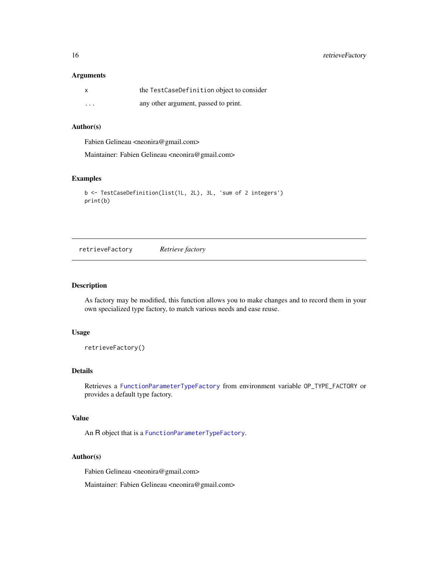<span id="page-15-0"></span>16 retrieveFactory

## Arguments

|          | the TestCaseDefinition object to consider |
|----------|-------------------------------------------|
| $\cdots$ | any other argument, passed to print.      |

# Author(s)

Fabien Gelineau <neonira@gmail.com>

Maintainer: Fabien Gelineau <neonira@gmail.com>

# Examples

```
b <- TestCaseDefinition(list(1L, 2L), 3L, 'sum of 2 integers')
print(b)
```
<span id="page-15-1"></span>retrieveFactory *Retrieve factory*

#### Description

As factory may be modified, this function allows you to make changes and to record them in your own specialized type factory, to match various needs and ease reuse.

#### Usage

```
retrieveFactory()
```
# Details

Retrieves a [FunctionParameterTypeFactory](#page-6-1) from environment variable OP\_TYPE\_FACTORY or provides a default type factory.

#### Value

An R object that is a [FunctionParameterTypeFactory](#page-6-1).

# Author(s)

Fabien Gelineau <neonira@gmail.com>

Maintainer: Fabien Gelineau <neonira@gmail.com>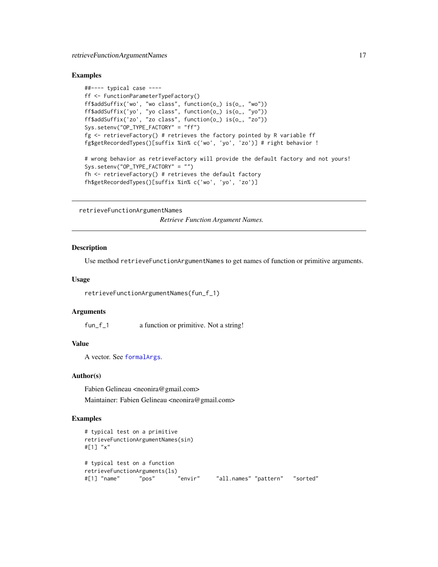# <span id="page-16-0"></span>retrieveFunctionArgumentNames 17

#### Examples

```
##---- typical case ----
ff <- FunctionParameterTypeFactory()
ff$addSuffix('wo', "wo class", function(o_) is(o_, "wo"))
ff$addSuffix('yo', "yo class", function(o_) is(o_, "yo"))
ff$addSuffix('zo', "zo class", function(o_) is(o_, "zo"))
Sys.setenv("OP_TYPE_FACTORY" = "ff")
fg <- retrieveFactory() # retrieves the factory pointed by R variable ff
fg$getRecordedTypes()[suffix %in% c('wo', 'yo', 'zo')] # right behavior !
# wrong behavior as retrieveFactory will provide the default factory and not yours!
Sys.setenv("OP_TYPE_FACTORY" = "")
fh <- retrieveFactory() # retrieves the default factory
fh$getRecordedTypes()[suffix %in% c('wo', 'yo', 'zo')]
```
retrieveFunctionArgumentNames

*Retrieve Function Argument Names.*

# Description

Use method retrieveFunctionArgumentNames to get names of function or primitive arguments.

#### Usage

retrieveFunctionArgumentNames(fun\_f\_1)

#### Arguments

fun\_f\_1 a function or primitive. Not a string!

#### Value

A vector. See [formalArgs](#page-0-0).

#### Author(s)

Fabien Gelineau <neonira@gmail.com> Maintainer: Fabien Gelineau <neonira@gmail.com>

```
# typical test on a primitive
retrieveFunctionArgumentNames(sin)
#[1] "x"
# typical test on a function
retrieveFunctionArguments(ls)
#[1] "name" "pos" "envir" "all.names" "pattern" "sorted"
```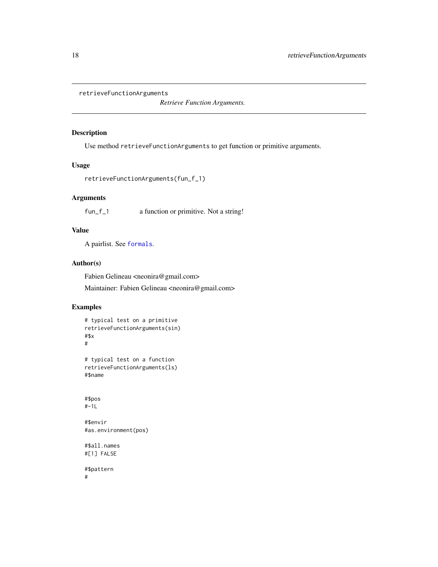```
retrieveFunctionArguments
```
*Retrieve Function Arguments.*

# Description

Use method retrieveFunctionArguments to get function or primitive arguments.

# Usage

```
retrieveFunctionArguments(fun_f_1)
```
#### Arguments

fun\_f\_1 a function or primitive. Not a string!

# Value

A pairlist. See [formals](#page-0-0).

#### Author(s)

Fabien Gelineau <neonira@gmail.com>

Maintainer: Fabien Gelineau <neonira@gmail.com>

```
# typical test on a primitive
retrieveFunctionArguments(sin)
#$x
#
# typical test on a function
retrieveFunctionArguments(ls)
#$name
#$pos
#-1L
#$envir
#as.environment(pos)
#$all.names
#[1] FALSE
#$pattern
#
```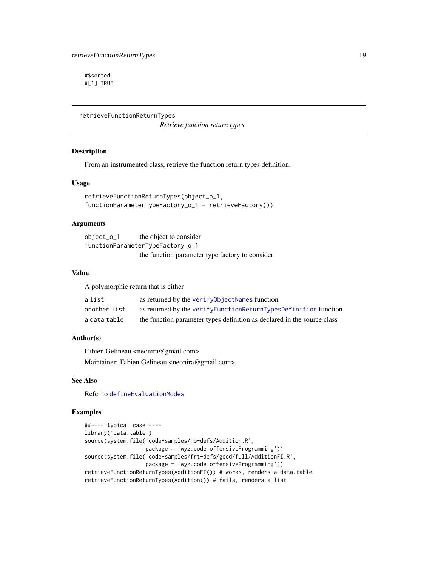<span id="page-18-0"></span>#\$sorted #[1] TRUE

retrieveFunctionReturnTypes

*Retrieve function return types*

#### Description

From an instrumented class, retrieve the function return types definition.

#### Usage

```
retrieveFunctionReturnTypes(object_o_1,
functionParameterTypeFactory_o_1 = retrieveFactory())
```
#### **Arguments**

object\_o\_1 the object to consider functionParameterTypeFactory\_o\_1 the function parameter type factory to consider

#### Value

A polymorphic return that is either

| a list       | as returned by the verifyObjectNames function                           |
|--------------|-------------------------------------------------------------------------|
| another list | as returned by the verifyFunctionReturnTypesDefinition function         |
| a data table | the function parameter types definition as declared in the source class |

# Author(s)

Fabien Gelineau <neonira@gmail.com> Maintainer: Fabien Gelineau <neonira@gmail.com>

# See Also

Refer to [defineEvaluationModes](#page-1-1)

```
##---- typical case ----
library('data.table')
source(system.file('code-samples/no-defs/Addition.R',
                  package = 'wyz.code.offensiveProgramming'))
source(system.file('code-samples/frt-defs/good/full/AdditionFI.R',
                   package = 'wyz.code.offensiveProgramming'))
retrieveFunctionReturnTypes(AdditionFI()) # works, renders a data.table
retrieveFunctionReturnTypes(Addition()) # fails, renders a list
```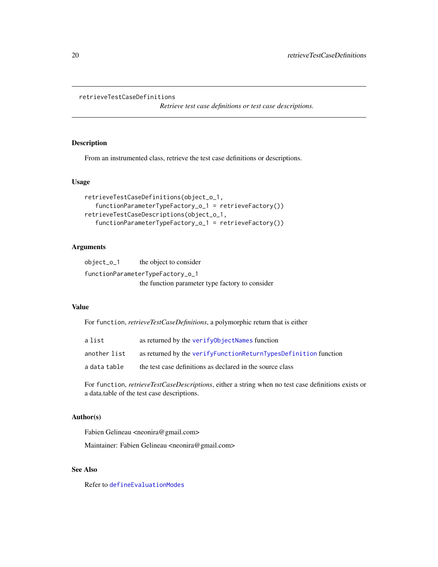### <span id="page-19-0"></span>retrieveTestCaseDefinitions

*Retrieve test case definitions or test case descriptions.*

# Description

From an instrumented class, retrieve the test case definitions or descriptions.

# Usage

```
retrieveTestCaseDefinitions(object_o_1,
   functionParameterTypeFactory_o_1 = retrieveFactory())
retrieveTestCaseDescriptions(object_o_1,
   functionParameterTypeFactory_o_1 = retrieveFactory())
```
# Arguments

| object_o_1 | the object to consider                          |
|------------|-------------------------------------------------|
|            | functionParameterTypeFactory_o_1                |
|            | the function parameter type factory to consider |

# Value

For function, *retrieveTestCaseDefinitions*, a polymorphic return that is either

| a list       | as returned by the verify0bjectNames function                       |
|--------------|---------------------------------------------------------------------|
| another list | as returned by the verify Function Return Types Definition function |
| a data table | the test case definitions as declared in the source class           |

For function, *retrieveTestCaseDescriptions*, either a string when no test case definitions exists or a data.table of the test case descriptions.

# Author(s)

Fabien Gelineau <neonira@gmail.com>

Maintainer: Fabien Gelineau <neonira@gmail.com>

# See Also

Refer to [defineEvaluationModes](#page-1-1)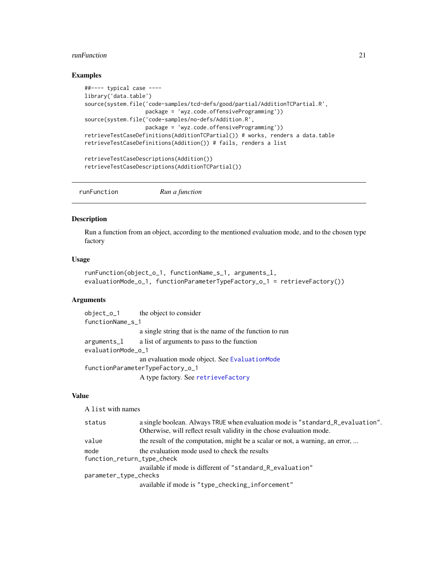#### <span id="page-20-0"></span>runFunction 21

#### Examples

```
##---- typical case ----
library('data.table')
source(system.file('code-samples/tcd-defs/good/partial/AdditionTCPartial.R',
                  package = 'wyz.code.offensiveProgramming'))
source(system.file('code-samples/no-defs/Addition.R',
                   package = 'wyz.code.offensiveProgramming'))
retrieveTestCaseDefinitions(AdditionTCPartial()) # works, renders a data.table
retrieveTestCaseDefinitions(Addition()) # fails, renders a list
retrieveTestCaseDescriptions(Addition())
retrieveTestCaseDescriptions(AdditionTCPartial())
```
<span id="page-20-1"></span>runFunction *Run a function*

#### Description

Run a function from an object, according to the mentioned evaluation mode, and to the chosen type factory

# Usage

```
runFunction(object_o_1, functionName_s_1, arguments_l,
evaluationMode_o_1, functionParameterTypeFactory_o_1 = retrieveFactory())
```
#### Arguments

object\_o\_1 the object to consider functionName\_s\_1 a single string that is the name of the function to run arguments\_l a list of arguments to pass to the function evaluationMode\_o\_1 an evaluation mode object. See [EvaluationMode](#page-3-1) functionParameterTypeFactory\_o\_1 A type factory. See [retrieveFactory](#page-15-1)

# Value

A list with names

| status                             | a single boolean. Always TRUE when evaluation mode is "standard_R_evaluation". |
|------------------------------------|--------------------------------------------------------------------------------|
|                                    | Otherwise, will reflect result validity in the chose evaluation mode.          |
| value                              | the result of the computation, might be a scalar or not, a warning, an error,  |
| mode<br>function_return_type_check | the evaluation mode used to check the results                                  |
|                                    |                                                                                |
|                                    | available if mode is different of "standard_R_evaluation"                      |
| parameter_type_checks              |                                                                                |
|                                    | available if mode is "type_checking_inforcement"                               |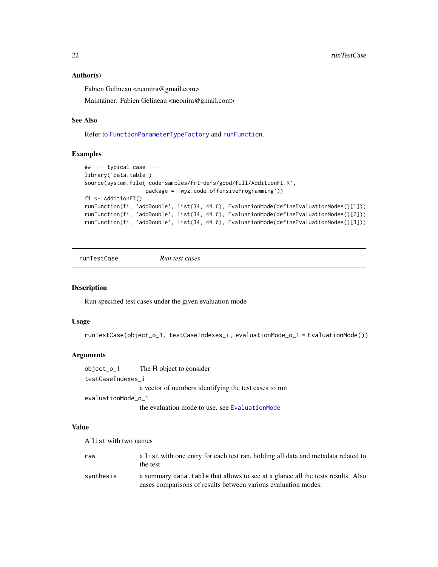#### <span id="page-21-0"></span>Author(s)

Fabien Gelineau <neonira@gmail.com>

Maintainer: Fabien Gelineau <neonira@gmail.com>

#### See Also

Refer to [FunctionParameterTypeFactory](#page-6-1) and [runFunction](#page-20-1).

# Examples

```
##---- typical case ----
library('data.table')
source(system.file('code-samples/frt-defs/good/full/AdditionFI.R',
                   package = 'wyz.code.offensiveProgramming'))
fi <- AdditionFI()
runFunction(fi, 'addDouble', list(34, 44.6), EvaluationMode(defineEvaluationModes()[1]))
runFunction(fi, 'addDouble', list(34, 44.6), EvaluationMode(defineEvaluationModes()[2]))
runFunction(fi, 'addDouble', list(34, 44.6), EvaluationMode(defineEvaluationModes()[3]))
```
runTestCase *Run test cases*

# Description

Run specified test cases under the given evaluation mode

#### Usage

```
runTestCase(object_o_1, testCaseIndexes_i, evaluationMode_o_1 = EvaluationMode())
```
# Arguments

object\_o\_1 The R object to consider testCaseIndexes\_i a vector of numbers identifying the test cases to run evaluationMode\_o\_1

the evaluation mode to use. see [EvaluationMode](#page-3-1)

#### Value

A list with two names

| raw       | a list with one entry for each test ran, holding all data and metadata related to<br>the test                                                      |
|-----------|----------------------------------------------------------------------------------------------------------------------------------------------------|
| synthesis | a summary data, table that allows to see at a glance all the tests results. Also<br>eases comparisons of results between various evaluation modes. |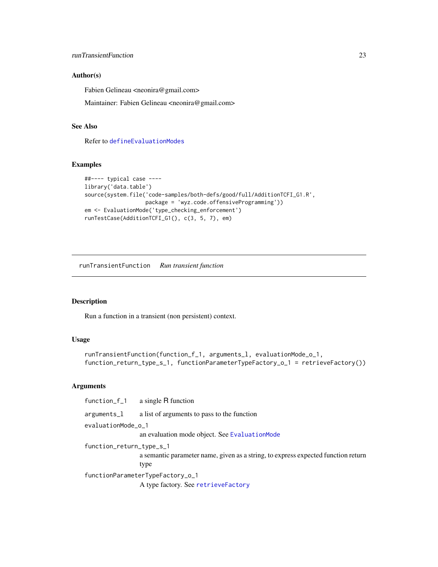#### <span id="page-22-0"></span>runTransientFunction 23

#### Author(s)

Fabien Gelineau <neonira@gmail.com>

Maintainer: Fabien Gelineau <neonira@gmail.com>

# See Also

Refer to [defineEvaluationModes](#page-1-1)

# Examples

```
##---- typical case ----
library('data.table')
source(system.file('code-samples/both-defs/good/full/AdditionTCFI_G1.R',
                  package = 'wyz.code.offensiveProgramming'))
em <- EvaluationMode('type_checking_enforcement')
runTestCase(AdditionTCFI_G1(), c(3, 5, 7), em)
```
runTransientFunction *Run transient function*

#### Description

Run a function in a transient (non persistent) context.

# Usage

```
runTransientFunction(function_f_1, arguments_l, evaluationMode_o_1,
function_return_type_s_1, functionParameterTypeFactory_o_1 = retrieveFactory())
```
# Arguments

function\_f\_1 a single R function arguments\_l a list of arguments to pass to the function evaluationMode\_o\_1 an evaluation mode object. See [EvaluationMode](#page-3-1) function\_return\_type\_s\_1 a semantic parameter name, given as a string, to express expected function return type functionParameterTypeFactory\_o\_1 A type factory. See [retrieveFactory](#page-15-1)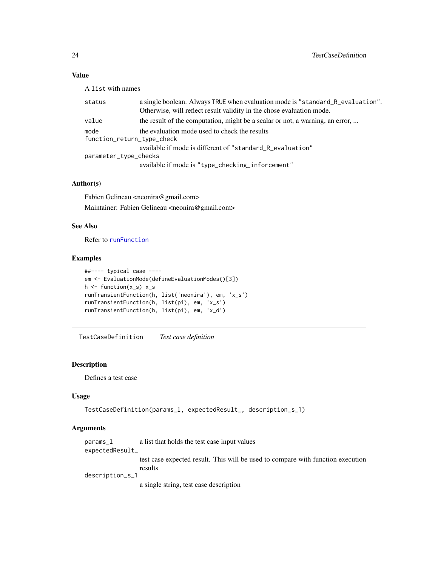# <span id="page-23-0"></span>Value

A list with names

| status                             | a single boolean. Always TRUE when evaluation mode is "standard_R_evaluation".<br>Otherwise, will reflect result validity in the chose evaluation mode. |
|------------------------------------|---------------------------------------------------------------------------------------------------------------------------------------------------------|
| value                              | the result of the computation, might be a scalar or not, a warning, an error,                                                                           |
| mode<br>function_return_type_check | the evaluation mode used to check the results                                                                                                           |
| parameter_type_checks              | available if mode is different of "standard_R_evaluation"                                                                                               |
|                                    | available if mode is "type_checking_inforcement"                                                                                                        |

#### Author(s)

Fabien Gelineau <neonira@gmail.com> Maintainer: Fabien Gelineau <neonira@gmail.com>

#### See Also

Refer to [runFunction](#page-20-1)

#### Examples

```
##---- typical case ----
em <- EvaluationMode(defineEvaluationModes()[3])
h \leftarrow function(x_s) x_s
runTransientFunction(h, list('neonira'), em, 'x_s')
runTransientFunction(h, list(pi), em, 'x_s')
runTransientFunction(h, list(pi), em, 'x_d')
```
TestCaseDefinition *Test case definition*

#### Description

Defines a test case

#### Usage

```
TestCaseDefinition(params_l, expectedResult_, description_s_1)
```
# Arguments

params\_l a list that holds the test case input values expectedResult\_ test case expected result. This will be used to compare with function execution results

description\_s\_1

a single string, test case description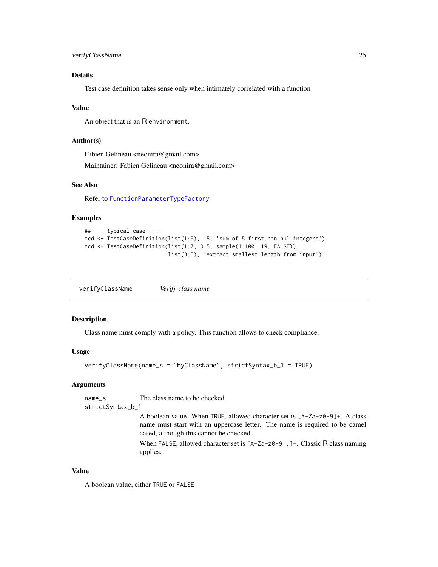# <span id="page-24-0"></span>Details

Test case definition takes sense only when intimately correlated with a function

#### Value

An object that is an R environment.

#### Author(s)

Fabien Gelineau <neonira@gmail.com> Maintainer: Fabien Gelineau <neonira@gmail.com>

# See Also

Refer to [FunctionParameterTypeFactory](#page-6-1)

# Examples

```
##---- typical case ----
tcd <- TestCaseDefinition(list(1:5), 15, 'sum of 5 first non nul integers')
tcd <- TestCaseDefinition(list(1:7, 3:5, sample(1:100, 19, FALSE)),
                          list(3:5), 'extract smallest length from input')
```
<span id="page-24-1"></span>verifyClassName *Verify class name*

#### Description

Class name must comply with a policy. This function allows to check compliance.

#### Usage

```
verifyClassName(name_s = "MyClassName", strictSyntax_b_1 = TRUE)
```
#### Arguments

name\_s The class name to be checked

strictSyntax\_b\_1

A boolean value. When TRUE, allowed character set is [A-Za-z0-9]+. A class name must start with an uppercase letter. The name is required to be camel cased, although this cannot be checked.

When FALSE, allowed character set is [A-Za-z0-9\_.]+. Classic R class naming applies.

#### Value

A boolean value, either TRUE or FALSE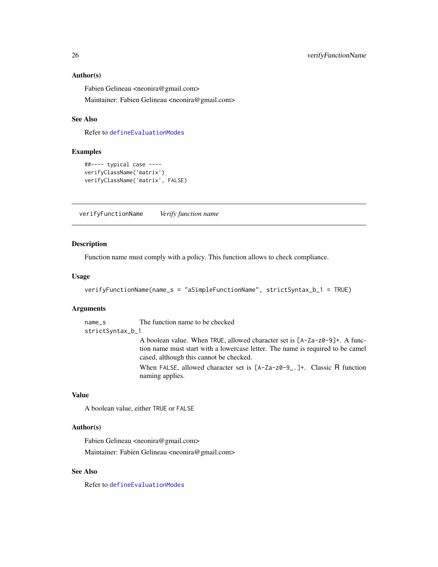#### <span id="page-25-0"></span>Author(s)

Fabien Gelineau <neonira@gmail.com>

Maintainer: Fabien Gelineau <neonira@gmail.com>

# See Also

Refer to [defineEvaluationModes](#page-1-1)

#### Examples

```
##---- typical case ----
verifyClassName('matrix')
verifyClassName('matrix', FALSE)
```
<span id="page-25-1"></span>verifyFunctionName *Verify function name*

#### Description

Function name must comply with a policy. This function allows to check compliance.

#### Usage

```
verifyFunctionName(name_s = "aSimpleFunctionName", strictSyntax_b_1 = TRUE)
```
# Arguments

name\_s The function name to be checked

strictSyntax\_b\_1

A boolean value. When TRUE, allowed character set is [A-Za-z0-9]+. A function name must start with a lowercase letter. The name is required to be camel cased, although this cannot be checked.

When FALSE, allowed character set is [A-Za-z0-9<sub>-</sub>.]+. Classic R function naming applies.

#### Value

A boolean value, either TRUE or FALSE

#### Author(s)

Fabien Gelineau <neonira@gmail.com>

Maintainer: Fabien Gelineau <neonira@gmail.com>

# See Also

Refer to [defineEvaluationModes](#page-1-1)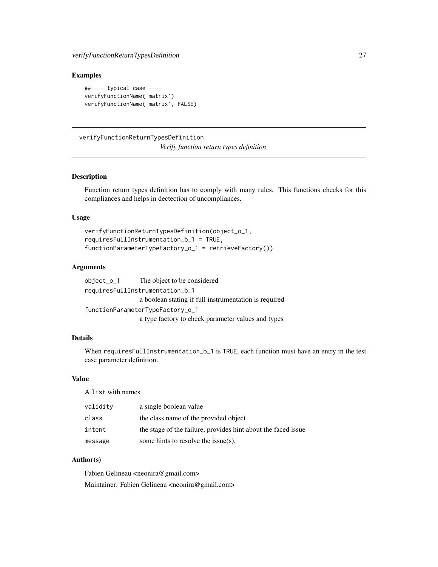#### <span id="page-26-0"></span>Examples

```
##---- typical case ----
verifyFunctionName('matrix')
verifyFunctionName('matrix', FALSE)
```
# <span id="page-26-1"></span>verifyFunctionReturnTypesDefinition

*Verify function return types definition*

# Description

Function return types definition has to comply with many rules. This functions checks for this compliances and helps in dectection of uncompliances.

# Usage

```
verifyFunctionReturnTypesDefinition(object_o_1,
requiresFullInstrumentation_b_1 = TRUE,
functionParameterTypeFactory_o_1 = retrieveFactory())
```
# Arguments

```
object_o_1 The object to be considered
requiresFullInstrumentation_b_1
                 a boolean stating if full instrumentation is required
functionParameterTypeFactory_o_1
                 a type factory to check parameter values and types
```
# Details

When requiresFullInstrumentation\_b\_1 is TRUE, each function must have an entry in the test case parameter definition.

# Value

A list with names

| validity | a single boolean value                                        |
|----------|---------------------------------------------------------------|
| class    | the class name of the provided object                         |
| intent   | the stage of the failure, provides hint about the faced issue |
| message  | some hints to resolve the issue(s).                           |

# Author(s)

Fabien Gelineau <neonira@gmail.com> Maintainer: Fabien Gelineau <neonira@gmail.com>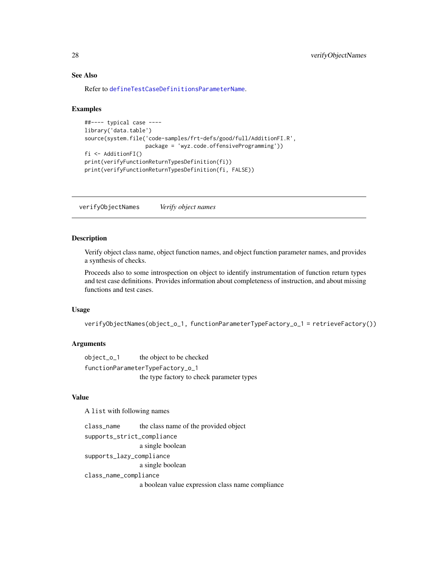# <span id="page-27-0"></span>See Also

Refer to [defineTestCaseDefinitionsParameterName](#page-3-2).

#### Examples

```
##---- typical case ----
library('data.table')
source(system.file('code-samples/frt-defs/good/full/AdditionFI.R',
                   package = 'wyz.code.offensiveProgramming'))
fi <- AdditionFI()
print(verifyFunctionReturnTypesDefinition(fi))
print(verifyFunctionReturnTypesDefinition(fi, FALSE))
```
<span id="page-27-1"></span>verifyObjectNames *Verify object names*

#### Description

Verify object class name, object function names, and object function parameter names, and provides a synthesis of checks.

Proceeds also to some introspection on object to identify instrumentation of function return types and test case definitions. Provides information about completeness of instruction, and about missing functions and test cases.

#### Usage

```
verifyObjectNames(object_o_1, functionParameterTypeFactory_o_1 = retrieveFactory())
```
#### **Arguments**

object\_o\_1 the object to be checked functionParameterTypeFactory\_o\_1 the type factory to check parameter types

# Value

A list with following names

class\_name the class name of the provided object supports\_strict\_compliance a single boolean

supports\_lazy\_compliance

a single boolean

class\_name\_compliance

a boolean value expression class name compliance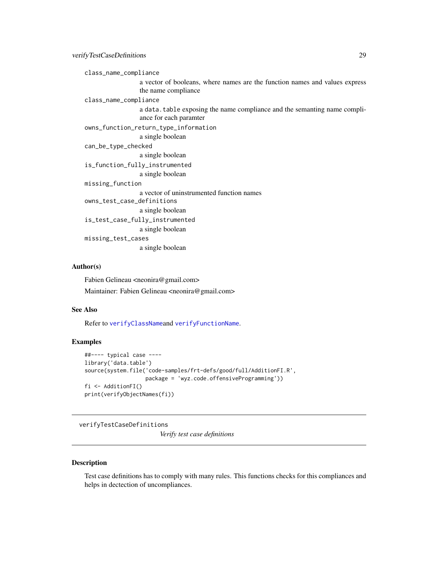<span id="page-28-0"></span>class\_name\_compliance

a vector of booleans, where names are the function names and values express the name compliance

class\_name\_compliance

a data.table exposing the name compliance and the semanting name compliance for each paramter

owns\_function\_return\_type\_information

a single boolean

can\_be\_type\_checked a single boolean

is\_function\_fully\_instrumented

a single boolean missing\_function a vector of uninstrumented function names

owns\_test\_case\_definitions

a single boolean

is\_test\_case\_fully\_instrumented

a single boolean

missing\_test\_cases a single boolean

#### Author(s)

Fabien Gelineau <neonira@gmail.com> Maintainer: Fabien Gelineau <neonira@gmail.com>

#### See Also

Refer to [verifyClassName](#page-24-1)and [verifyFunctionName](#page-25-1).

#### Examples

```
##---- typical case ----
library('data.table')
source(system.file('code-samples/frt-defs/good/full/AdditionFI.R',
                   package = 'wyz.code.offensiveProgramming'))
fi <- AdditionFI()
print(verifyObjectNames(fi))
```
verifyTestCaseDefinitions *Verify test case definitions*

#### Description

Test case definitions has to comply with many rules. This functions checks for this compliances and helps in dectection of uncompliances.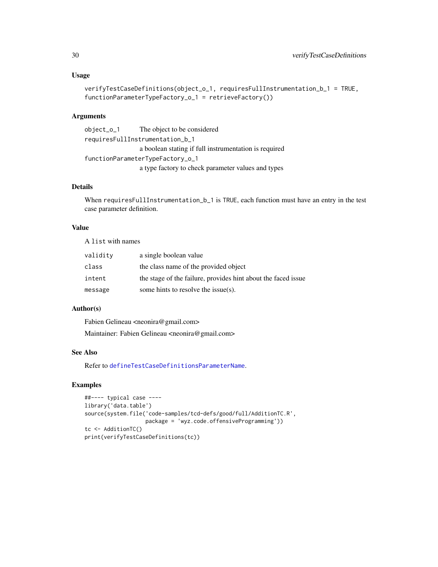#### Usage

```
verifyTestCaseDefinitions(object_o_1, requiresFullInstrumentation_b_1 = TRUE,
functionParameterTypeFactory_o_1 = retrieveFactory())
```
#### Arguments

```
object_o_1 The object to be considered
requiresFullInstrumentation_b_1
                 a boolean stating if full instrumentation is required
functionParameterTypeFactory_o_1
                 a type factory to check parameter values and types
```
# Details

When requiresFullInstrumentation\_b\_1 is TRUE, each function must have an entry in the test case parameter definition.

# Value

A list with names

| validity | a single boolean value                                        |
|----------|---------------------------------------------------------------|
| class    | the class name of the provided object                         |
| intent   | the stage of the failure, provides hint about the faced issue |
| message  | some hints to resolve the issue(s).                           |

# Author(s)

Fabien Gelineau <neonira@gmail.com>

Maintainer: Fabien Gelineau <neonira@gmail.com>

# See Also

Refer to [defineTestCaseDefinitionsParameterName](#page-3-2).

```
##---- typical case ----
library('data.table')
source(system.file('code-samples/tcd-defs/good/full/AdditionTC.R',
                  package = 'wyz.code.offensiveProgramming'))
tc <- AdditionTC()
print(verifyTestCaseDefinitions(tc))
```
<span id="page-29-0"></span>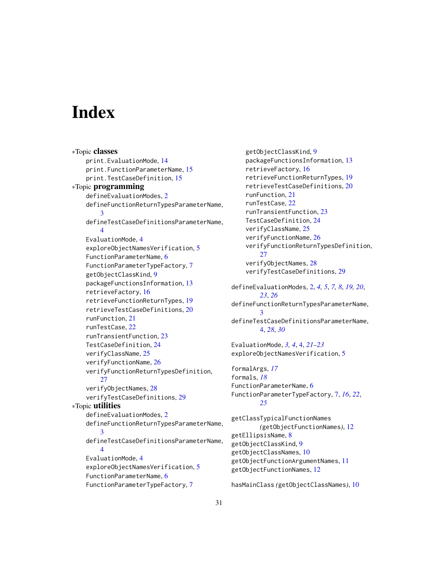# <span id="page-30-0"></span>Index

∗Topic classes print.EvaluationMode, [14](#page-13-0) print.FunctionParameterName, [15](#page-14-0) print.TestCaseDefinition, [15](#page-14-0) ∗Topic programming defineEvaluationModes, [2](#page-1-0) defineFunctionReturnTypesParameterName, [3](#page-2-0) defineTestCaseDefinitionsParameterName, [4](#page-3-0) EvaluationMode, [4](#page-3-0) exploreObjectNamesVerification, [5](#page-4-0) FunctionParameterName, [6](#page-5-0) FunctionParameterTypeFactory, [7](#page-6-0) getObjectClassKind, [9](#page-8-0) packageFunctionsInformation, [13](#page-12-0) retrieveFactory, [16](#page-15-0) retrieveFunctionReturnTypes, [19](#page-18-0) retrieveTestCaseDefinitions, [20](#page-19-0) runFunction, [21](#page-20-0) runTestCase, [22](#page-21-0) runTransientFunction, [23](#page-22-0) TestCaseDefinition, [24](#page-23-0) verifyClassName, [25](#page-24-0) verifyFunctionName, [26](#page-25-0) verifyFunctionReturnTypesDefinition, [27](#page-26-0) verifyObjectNames, [28](#page-27-0) verifyTestCaseDefinitions, [29](#page-28-0) ∗Topic utilities defineEvaluationModes, [2](#page-1-0) defineFunctionReturnTypesParameterName, [3](#page-2-0) defineTestCaseDefinitionsParameterName, [4](#page-3-0) EvaluationMode, [4](#page-3-0) exploreObjectNamesVerification, [5](#page-4-0) FunctionParameterName, [6](#page-5-0) FunctionParameterTypeFactory, [7](#page-6-0)

getObjectClassKind, [9](#page-8-0) packageFunctionsInformation, [13](#page-12-0) retrieveFactory, [16](#page-15-0) retrieveFunctionReturnTypes, [19](#page-18-0) retrieveTestCaseDefinitions, [20](#page-19-0) runFunction, [21](#page-20-0) runTestCase, [22](#page-21-0) runTransientFunction, [23](#page-22-0) TestCaseDefinition, [24](#page-23-0) verifyClassName, [25](#page-24-0) verifyFunctionName, [26](#page-25-0) verifyFunctionReturnTypesDefinition, [27](#page-26-0) verifyObjectNames, [28](#page-27-0) verifyTestCaseDefinitions, [29](#page-28-0) defineEvaluationModes, [2,](#page-1-0) *[4,](#page-3-0) [5](#page-4-0)*, *[7,](#page-6-0) [8](#page-7-0)*, *[19,](#page-18-0) [20](#page-19-0)*, *[23](#page-22-0)*, *[26](#page-25-0)* defineFunctionReturnTypesParameterName, [3](#page-2-0) defineTestCaseDefinitionsParameterName, [4,](#page-3-0) *[28](#page-27-0)*, *[30](#page-29-0)* EvaluationMode, *[3,](#page-2-0) [4](#page-3-0)*, [4,](#page-3-0) *[21](#page-20-0)[–23](#page-22-0)* exploreObjectNamesVerification, [5](#page-4-0) formalArgs, *[17](#page-16-0)* formals, *[18](#page-17-0)*

FunctionParameterName, [6](#page-5-0) FunctionParameterTypeFactory, [7,](#page-6-0) *[16](#page-15-0)*, *[22](#page-21-0)*, *[25](#page-24-0)*

getClassTypicalFunctionNames *(*getObjectFunctionNames*)*, [12](#page-11-0) getEllipsisName, [8](#page-7-0) getObjectClassKind, [9](#page-8-0) getObjectClassNames, [10](#page-9-0) getObjectFunctionArgumentNames, [11](#page-10-0) getObjectFunctionNames, [12](#page-11-0)

hasMainClass *(*getObjectClassNames*)*, [10](#page-9-0)